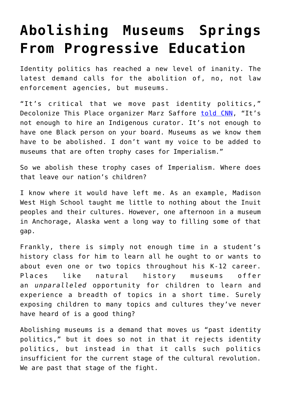## **[Abolishing Museums Springs](https://intellectualtakeout.org/2020/07/abolishing-museums-springs-from-progressive-education/) [From Progressive Education](https://intellectualtakeout.org/2020/07/abolishing-museums-springs-from-progressive-education/)**

Identity politics has reached a new level of inanity. The latest demand calls for the abolition of, no, not law enforcement agencies, but museums.

"It's critical that we move past identity politics," Decolonize This Place organizer Marz Saffore [told CNN](https://www.cnn.com/style/article/natural-history-museum-whitewashing-monuments-statues-trnd/index.html), "It's not enough to hire an Indigenous curator. It's not enough to have one Black person on your board. Museums as we know them have to be abolished. I don't want my voice to be added to museums that are often trophy cases for Imperialism."

So we abolish these trophy cases of Imperialism. Where does that leave our nation's children?

I know where it would have left me. As an example, Madison West High School taught me little to nothing about the Inuit peoples and their cultures. However, one afternoon in a museum in Anchorage, Alaska went a long way to filling some of that gap.

Frankly, there is simply not enough time in a student's history class for him to learn all he ought to or wants to about even one or two topics throughout his K-12 career. Places like natural history museums offer an *unparalleled* opportunity for children to learn and experience a breadth of topics in a short time. Surely exposing children to many topics and cultures they've never have heard of is a good thing?

Abolishing museums is a demand that moves us "past identity politics," but it does so not in that it rejects identity politics, but instead in that it calls such politics insufficient for the current stage of the cultural revolution. We are past that stage of the fight.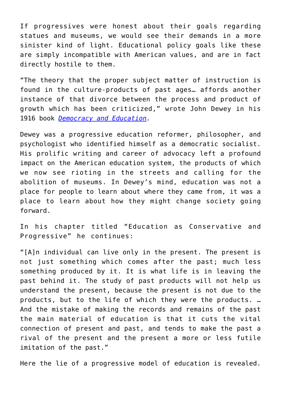If progressives were honest about their goals regarding statues and museums, we would see their demands in a more sinister kind of light. Educational policy goals like these are simply incompatible with American values, and are in fact directly hostile to them.

"The theory that the proper subject matter of instruction is found in the culture-products of past ages… affords another instance of that divorce between the process and product of growth which has been criticized," wrote John Dewey in his 1916 book *[Democracy and Education.](https://www.gutenberg.org/files/852/852-h/852-h.htm#link2HCH0006)*

Dewey was a progressive education reformer, philosopher, and psychologist who identified himself as a democratic socialist. His prolific writing and career of advocacy left a profound impact on the American education system, the products of which we now see rioting in the streets and calling for the abolition of museums. In Dewey's mind, education was not a place for people to learn about where they came from, it was a place to learn about how they might change society going forward.

In his chapter titled "Education as Conservative and Progressive" he continues:

"[A]n individual can live only in the present. The present is not just something which comes after the past; much less something produced by it. It is what life is in leaving the past behind it. The study of past products will not help us understand the present, because the present is not due to the products, but to the life of which they were the products. … And the mistake of making the records and remains of the past the main material of education is that it cuts the vital connection of present and past, and tends to make the past a rival of the present and the present a more or less futile imitation of the past."

Here the lie of a progressive model of education is revealed.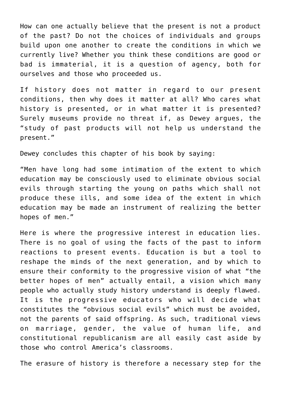How can one actually believe that the present is not a product of the past? Do not the choices of individuals and groups build upon one another to create the conditions in which we currently live? Whether you think these conditions are good or bad is immaterial, it is a question of agency, both for ourselves and those who proceeded us.

If history does not matter in regard to our present conditions, then why does it matter at all? Who cares what history is presented, or in what matter it is presented? Surely museums provide no threat if, as Dewey argues, the "study of past products will not help us understand the present."

Dewey concludes this chapter of his book by saying:

"Men have long had some intimation of the extent to which education may be consciously used to eliminate obvious social evils through starting the young on paths which shall not produce these ills, and some idea of the extent in which education may be made an instrument of realizing the better hopes of men."

Here is where the progressive interest in education lies. There is no goal of using the facts of the past to inform reactions to present events. Education is but a tool to reshape the minds of the next generation, and by which to ensure their conformity to the progressive vision of what "the better hopes of men" actually entail, a vision which many people who actually study history understand is deeply flawed. It is the progressive educators who will decide what constitutes the "obvious social evils" which must be avoided, not the parents of said offspring. As such, traditional views on marriage, gender, the value of human life, and constitutional republicanism are all easily cast aside by those who control America's classrooms.

The erasure of history is therefore a necessary step for the